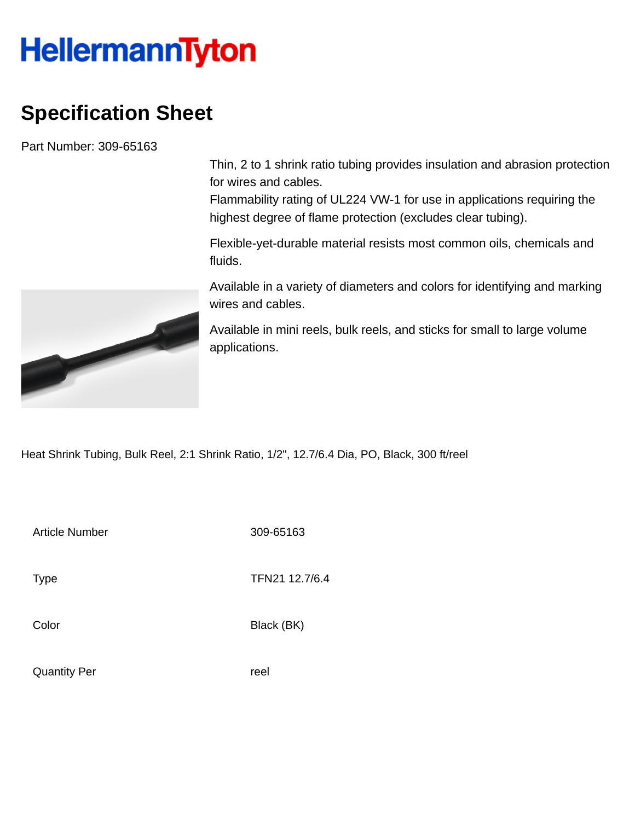## **HellermannTyton**

## **Specification Sheet**

Part Number: 309-65163

Thin, 2 to 1 shrink ratio tubing provides insulation and abrasion protection for wires and cables.

Flammability rating of UL224 VW-1 for use in applications requiring the highest degree of flame protection (excludes clear tubing).

Flexible-yet-durable material resists most common oils, chemicals and fluids.

Available in a variety of diameters and colors for identifying and marking wires and cables.

Available in mini reels, bulk reels, and sticks for small to large volume applications.

Heat Shrink Tubing, Bulk Reel, 2:1 Shrink Ratio, 1/2", 12.7/6.4 Dia, PO, Black, 300 ft/reel

Article Number 309-65163

Type **TFN21 12.7/6.4** 

Color Black (BK)

Quantity Per **reel** 

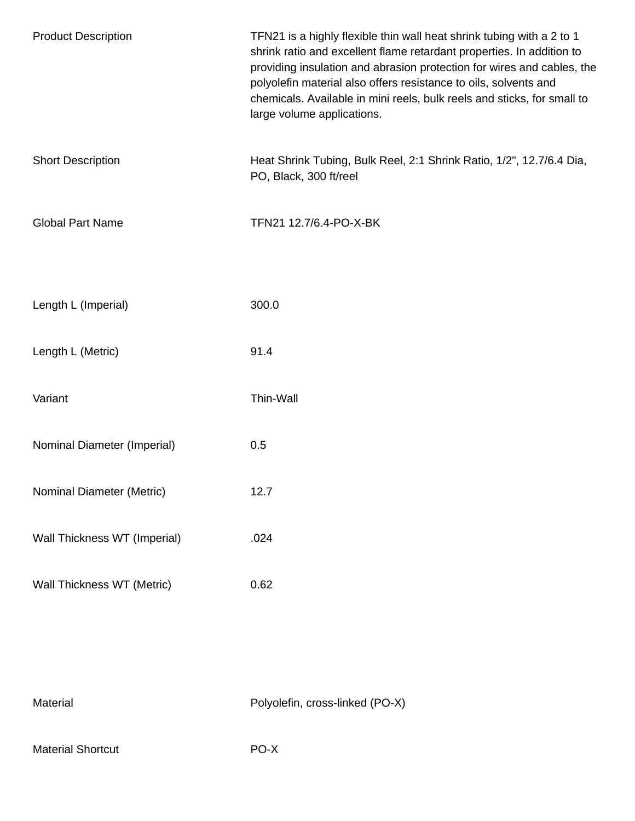| <b>Product Description</b>   | TFN21 is a highly flexible thin wall heat shrink tubing with a 2 to 1<br>shrink ratio and excellent flame retardant properties. In addition to<br>providing insulation and abrasion protection for wires and cables, the<br>polyolefin material also offers resistance to oils, solvents and<br>chemicals. Available in mini reels, bulk reels and sticks, for small to<br>large volume applications. |
|------------------------------|-------------------------------------------------------------------------------------------------------------------------------------------------------------------------------------------------------------------------------------------------------------------------------------------------------------------------------------------------------------------------------------------------------|
| <b>Short Description</b>     | Heat Shrink Tubing, Bulk Reel, 2:1 Shrink Ratio, 1/2", 12.7/6.4 Dia,<br>PO, Black, 300 ft/reel                                                                                                                                                                                                                                                                                                        |
| <b>Global Part Name</b>      | TFN21 12.7/6.4-PO-X-BK                                                                                                                                                                                                                                                                                                                                                                                |
| Length L (Imperial)          | 300.0                                                                                                                                                                                                                                                                                                                                                                                                 |
| Length L (Metric)            | 91.4                                                                                                                                                                                                                                                                                                                                                                                                  |
| Variant                      | Thin-Wall                                                                                                                                                                                                                                                                                                                                                                                             |
| Nominal Diameter (Imperial)  | 0.5                                                                                                                                                                                                                                                                                                                                                                                                   |
| Nominal Diameter (Metric)    | 12.7                                                                                                                                                                                                                                                                                                                                                                                                  |
| Wall Thickness WT (Imperial) | .024                                                                                                                                                                                                                                                                                                                                                                                                  |
| Wall Thickness WT (Metric)   | 0.62                                                                                                                                                                                                                                                                                                                                                                                                  |

| Material |  |
|----------|--|
|          |  |

Polyolefin, cross-linked (PO-X)

Material Shortcut **PO-X**